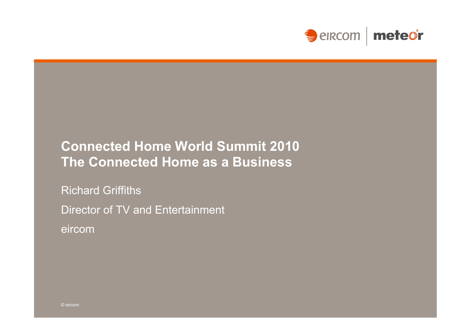

### **Connected Home World Summit 2010 The Connected Home as a Business**

Richard Griffiths

Director of TV and Entertainment

eircom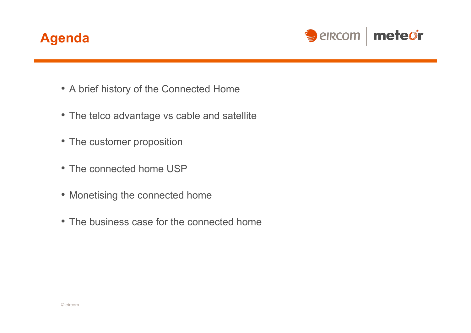## **Agenda**



- A brief history of the Connected Home
- The telco advantage vs cable and satellite
- The customer proposition
- The connected home USP
- Monetising the connected home
- The business case for the connected home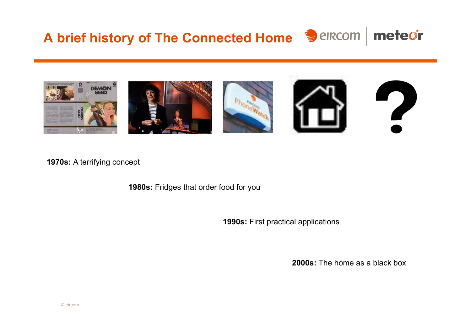# **A brief history of The Connected Home**



**1970s:** A terrifying concept

**1980s:** Fridges that order food for you

**1990s:** First practical applications

**2000s:** The home as a black box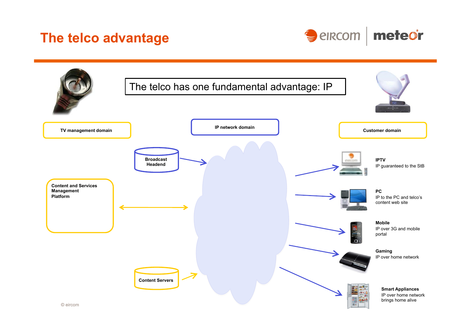### **The telco advantage**



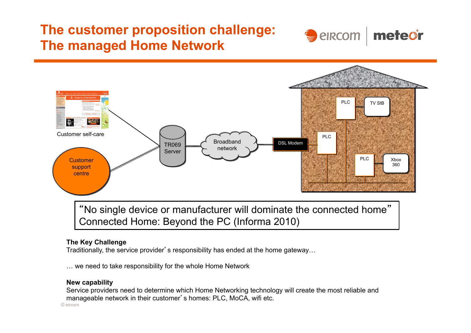## **The customer proposition challenge: The managed Home Network**





"No single device or manufacturer will dominate the connected home" Connected Home: Beyond the PC (Informa 2010)

#### **The Key Challenge**

Traditionally, the service provider's responsibility has ended at the home gateway…

… we need to take responsibility for the whole Home Network

#### **New capability**

Service providers need to determine which Home Networking technology will create the most reliable and manageable network in their customer's homes: PLC, MoCA, wifi etc.

© eircom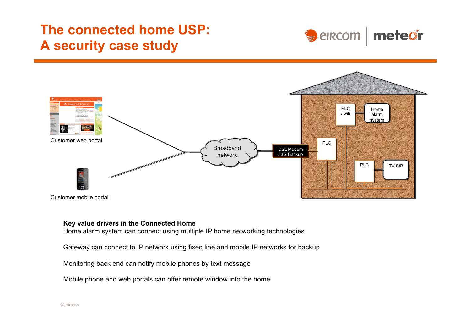## **The connected home USP: A security case study**





#### **Key value drivers in the Connected Home**

Home alarm system can connect using multiple IP home networking technologies

Gateway can connect to IP network using fixed line and mobile IP networks for backup

Monitoring back end can notify mobile phones by text message

Mobile phone and web portals can offer remote window into the home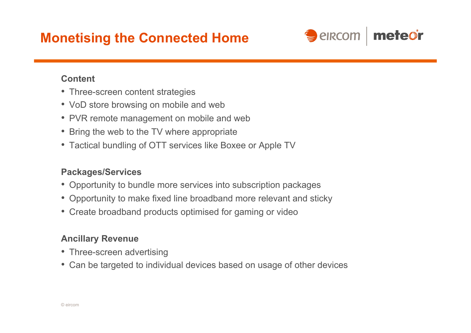## **Monetising the Connected Home**



### **Content**

- Three-screen content strategies
- VoD store browsing on mobile and web
- PVR remote management on mobile and web
- Bring the web to the TV where appropriate
- Tactical bundling of OTT services like Boxee or Apple TV

### **Packages/Services**

- Opportunity to bundle more services into subscription packages
- Opportunity to make fixed line broadband more relevant and sticky
- Create broadband products optimised for gaming or video

### **Ancillary Revenue**

- Three-screen advertising
- Can be targeted to individual devices based on usage of other devices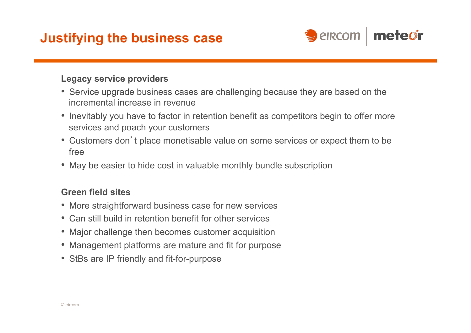## **Justifying the business case**



### **Legacy service providers**

- Service upgrade business cases are challenging because they are based on the incremental increase in revenue
- Inevitably you have to factor in retention benefit as competitors begin to offer more services and poach your customers
- Customers don't place monetisable value on some services or expect them to be free
- May be easier to hide cost in valuable monthly bundle subscription

### **Green field sites**

- More straightforward business case for new services
- Can still build in retention benefit for other services
- Major challenge then becomes customer acquisition
- Management platforms are mature and fit for purpose
- StBs are IP friendly and fit-for-purpose